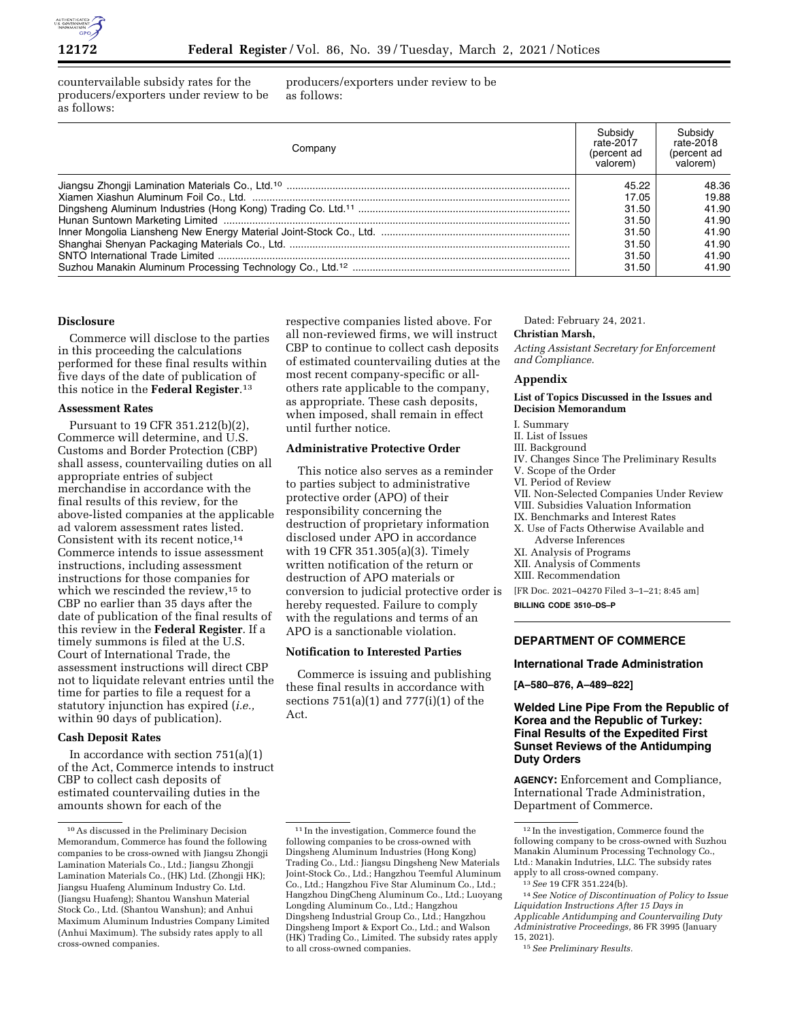

countervailable subsidy rates for the producers/exporters under review to be as follows:

producers/exporters under review to be as follows:

| Companv | Subsidy<br>rate-2017<br>(percent ad<br>valorem) | Subsidy<br>rate-2018<br>(percent ad<br>valorem) |
|---------|-------------------------------------------------|-------------------------------------------------|
|         | 45.22<br>17.05                                  | 48.36<br>19.88                                  |
|         | 31.50                                           | 41.90                                           |
|         | 31.50                                           | 41.90                                           |
|         | 31.50                                           | 41.90                                           |
|         | 31.50                                           | 41.90                                           |
|         | 31.50                                           | 41.90                                           |
|         | 31.50                                           | 41.90                                           |

#### **Disclosure**

Commerce will disclose to the parties in this proceeding the calculations performed for these final results within five days of the date of publication of this notice in the **Federal Register**.13

#### **Assessment Rates**

Pursuant to 19 CFR 351.212(b)(2), Commerce will determine, and U.S. Customs and Border Protection (CBP) shall assess, countervailing duties on all appropriate entries of subject merchandise in accordance with the final results of this review, for the above-listed companies at the applicable ad valorem assessment rates listed. Consistent with its recent notice,14 Commerce intends to issue assessment instructions, including assessment instructions for those companies for which we rescinded the review,<sup>15</sup> to CBP no earlier than 35 days after the date of publication of the final results of this review in the **Federal Register**. If a timely summons is filed at the U.S. Court of International Trade, the assessment instructions will direct CBP not to liquidate relevant entries until the time for parties to file a request for a statutory injunction has expired (*i.e.,*  within 90 days of publication).

#### **Cash Deposit Rates**

In accordance with section 751(a)(1) of the Act, Commerce intends to instruct CBP to collect cash deposits of estimated countervailing duties in the amounts shown for each of the

respective companies listed above. For all non-reviewed firms, we will instruct CBP to continue to collect cash deposits of estimated countervailing duties at the most recent company-specific or allothers rate applicable to the company, as appropriate. These cash deposits, when imposed, shall remain in effect until further notice.

# **Administrative Protective Order**

This notice also serves as a reminder to parties subject to administrative protective order (APO) of their responsibility concerning the destruction of proprietary information disclosed under APO in accordance with 19 CFR 351.305(a)(3). Timely written notification of the return or destruction of APO materials or conversion to judicial protective order is hereby requested. Failure to comply with the regulations and terms of an APO is a sanctionable violation.

#### **Notification to Interested Parties**

Commerce is issuing and publishing these final results in accordance with sections 751(a)(1) and 777(i)(1) of the Act.

# Dated: February 24, 2021.

# **Christian Marsh,**

*Acting Assistant Secretary for Enforcement and Compliance.* 

# **Appendix**

#### **List of Topics Discussed in the Issues and Decision Memorandum**

#### I. Summary

- II. List of Issues
- III. Background
- IV. Changes Since The Preliminary Results
- V. Scope of the Order
- VI. Period of Review
- VII. Non-Selected Companies Under Review
- VIII. Subsidies Valuation Information
- IX. Benchmarks and Interest Rates
- X. Use of Facts Otherwise Available and Adverse Inferences
- XI. Analysis of Programs
- XII. Analysis of Comments
- XIII. Recommendation

[FR Doc. 2021–04270 Filed 3–1–21; 8:45 am]

**BILLING CODE 3510–DS–P** 

# **DEPARTMENT OF COMMERCE**

# **International Trade Administration**

**[A–580–876, A–489–822]** 

# **Welded Line Pipe From the Republic of Korea and the Republic of Turkey: Final Results of the Expedited First Sunset Reviews of the Antidumping Duty Orders**

**AGENCY:** Enforcement and Compliance, International Trade Administration, Department of Commerce.

14*See Notice of Discontinuation of Policy to Issue Liquidation Instructions After 15 Days in Applicable Antidumping and Countervailing Duty Administrative Proceedings,* 86 FR 3995 (January 15, 2021).

<sup>10</sup>As discussed in the Preliminary Decision Memorandum, Commerce has found the following companies to be cross-owned with Jiangsu Zhongji Lamination Materials Co., Ltd.; Jiangsu Zhongji Lamination Materials Co., (HK) Ltd. (Zhongji HK); Jiangsu Huafeng Aluminum Industry Co. Ltd. (Jiangsu Huafeng); Shantou Wanshun Material Stock Co., Ltd. (Shantou Wanshun); and Anhui Maximum Aluminum Industries Company Limited (Anhui Maximum). The subsidy rates apply to all cross-owned companies.

<sup>11</sup> In the investigation, Commerce found the following companies to be cross-owned with Dingsheng Aluminum Industries (Hong Kong) Trading Co., Ltd.: Jiangsu Dingsheng New Materials Joint-Stock Co., Ltd.; Hangzhou Teemful Aluminum Co., Ltd.; Hangzhou Five Star Aluminum Co., Ltd.; Hangzhou DingCheng Aluminum Co., Ltd.; Luoyang Longding Aluminum Co., Ltd.; Hangzhou Dingsheng Industrial Group Co., Ltd.; Hangzhou Dingsheng Import & Export Co., Ltd.; and Walson (HK) Trading Co., Limited. The subsidy rates apply to all cross-owned companies.

<sup>12</sup> In the investigation, Commerce found the following company to be cross-owned with Suzhou Manakin Aluminum Processing Technology Co., Ltd.: Manakin Indutries, LLC. The subsidy rates apply to all cross-owned company.

<sup>13</sup>*See* 19 CFR 351.224(b).

<sup>15</sup>*See Preliminary Results.*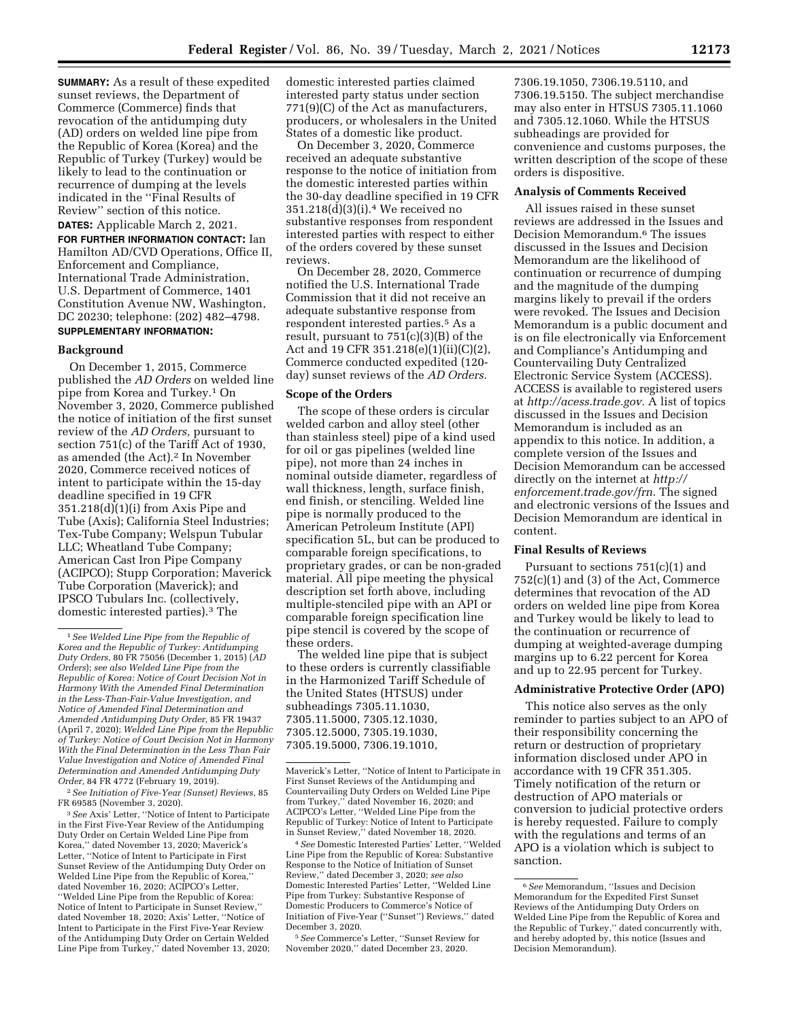**SUMMARY:** As a result of these expedited sunset reviews, the Department of Commerce (Commerce) finds that revocation of the antidumping duty (AD) orders on welded line pipe from the Republic of Korea (Korea) and the Republic of Turkey (Turkey) would be likely to lead to the continuation or recurrence of dumping at the levels indicated in the ''Final Results of Review'' section of this notice.

**DATES:** Applicable March 2, 2021. **FOR FURTHER INFORMATION CONTACT:** Ian Hamilton AD/CVD Operations, Office II, Enforcement and Compliance, International Trade Administration, U.S. Department of Commerce, 1401 Constitution Avenue NW, Washington, DC 20230; telephone: (202) 482–4798. **SUPPLEMENTARY INFORMATION:** 

# **Background**

On December 1, 2015, Commerce published the *AD Orders* on welded line pipe from Korea and Turkey.1 On November 3, 2020, Commerce published the notice of initiation of the first sunset review of the *AD Orders,* pursuant to section 751(c) of the Tariff Act of 1930, as amended (the Act).<sup>2</sup> In November 2020, Commerce received notices of intent to participate within the 15-day deadline specified in 19 CFR 351.218(d)(1)(i) from Axis Pipe and Tube (Axis); California Steel Industries; Tex-Tube Company; Welspun Tubular LLC; Wheatland Tube Company; American Cast Iron Pipe Company (ACIPCO); Stupp Corporation; Maverick Tube Corporation (Maverick); and IPSCO Tubulars Inc. (collectively, domestic interested parties).3 The

2*See Initiation of Five-Year (Sunset) Reviews,* 85 FR 69585 (November 3, 2020).

3*See* Axis' Letter, ''Notice of Intent to Participate in the First Five-Year Review of the Antidumping Duty Order on Certain Welded Line Pipe from Korea,'' dated November 13, 2020; Maverick's Letter, ''Notice of Intent to Participate in First Sunset Review of the Antidumping Duty Order on Welded Line Pipe from the Republic of Korea,'' dated November 16, 2020; ACIPCO's Letter, ''Welded Line Pipe from the Republic of Korea: Notice of Intent to Participate in Sunset Review,'' dated November 18, 2020; Axis' Letter, ''Notice of Intent to Participate in the First Five-Year Review of the Antidumping Duty Order on Certain Welded Line Pipe from Turkey,'' dated November 13, 2020; domestic interested parties claimed interested party status under section 771(9)(C) of the Act as manufacturers, producers, or wholesalers in the United States of a domestic like product.

On December 3, 2020, Commerce received an adequate substantive response to the notice of initiation from the domestic interested parties within the 30-day deadline specified in 19 CFR 351.218(d)(3)(i).4 We received no substantive responses from respondent interested parties with respect to either of the orders covered by these sunset reviews.

On December 28, 2020, Commerce notified the U.S. International Trade Commission that it did not receive an adequate substantive response from respondent interested parties.5 As a result, pursuant to 751(c)(3)(B) of the Act and 19 CFR 351.218(e)(1)(ii)(C)(2), Commerce conducted expedited (120 day) sunset reviews of the *AD Orders.* 

# **Scope of the Orders**

The scope of these orders is circular welded carbon and alloy steel (other than stainless steel) pipe of a kind used for oil or gas pipelines (welded line pipe), not more than 24 inches in nominal outside diameter, regardless of wall thickness, length, surface finish, end finish, or stenciling. Welded line pipe is normally produced to the American Petroleum Institute (API) specification 5L, but can be produced to comparable foreign specifications, to proprietary grades, or can be non-graded material. All pipe meeting the physical description set forth above, including multiple-stenciled pipe with an API or comparable foreign specification line pipe stencil is covered by the scope of these orders.

The welded line pipe that is subject to these orders is currently classifiable in the Harmonized Tariff Schedule of the United States (HTSUS) under subheadings 7305.11.1030, 7305.11.5000, 7305.12.1030, 7305.12.5000, 7305.19.1030, 7305.19.5000, 7306.19.1010,

4*See* Domestic Interested Parties' Letter, ''Welded Line Pipe from the Republic of Korea: Substantive Response to the Notice of Initiation of Sunset Review,'' dated December 3, 2020; *see also*  Domestic Interested Parties' Letter, ''Welded Line Pipe from Turkey: Substantive Response of Domestic Producers to Commerce's Notice of Initiation of Five-Year (''Sunset'') Reviews,'' dated December 3, 2020.

5*See* Commerce's Letter, ''Sunset Review for November 2020,'' dated December 23, 2020.

7306.19.1050, 7306.19.5110, and 7306.19.5150. The subject merchandise may also enter in HTSUS 7305.11.1060 and 7305.12.1060. While the HTSUS subheadings are provided for convenience and customs purposes, the written description of the scope of these orders is dispositive.

# **Analysis of Comments Received**

All issues raised in these sunset reviews are addressed in the Issues and Decision Memorandum.6 The issues discussed in the Issues and Decision Memorandum are the likelihood of continuation or recurrence of dumping and the magnitude of the dumping margins likely to prevail if the orders were revoked. The Issues and Decision Memorandum is a public document and is on file electronically via Enforcement and Compliance's Antidumping and Countervailing Duty Centralized Electronic Service System (ACCESS). ACCESS is available to registered users at *[http://acess.trade.gov.](http://acess.trade.gov)* A list of topics discussed in the Issues and Decision Memorandum is included as an appendix to this notice. In addition, a complete version of the Issues and Decision Memorandum can be accessed directly on the internet at *[http://](http://enforcement.trade.gov/frn) [enforcement.trade.gov/frn.](http://enforcement.trade.gov/frn)* The signed and electronic versions of the Issues and Decision Memorandum are identical in content.

#### **Final Results of Reviews**

Pursuant to sections 751(c)(1) and 752(c)(1) and (3) of the Act, Commerce determines that revocation of the AD orders on welded line pipe from Korea and Turkey would be likely to lead to the continuation or recurrence of dumping at weighted-average dumping margins up to 6.22 percent for Korea and up to 22.95 percent for Turkey.

#### **Administrative Protective Order (APO)**

This notice also serves as the only reminder to parties subject to an APO of their responsibility concerning the return or destruction of proprietary information disclosed under APO in accordance with 19 CFR 351.305. Timely notification of the return or destruction of APO materials or conversion to judicial protective orders is hereby requested. Failure to comply with the regulations and terms of an APO is a violation which is subject to sanction.

<sup>1</sup>*See Welded Line Pipe from the Republic of Korea and the Republic of Turkey: Antidumping Duty Orders,* 80 FR 75056 (December 1, 2015) (*AD Orders*); *see also Welded Line Pipe from the Republic of Korea: Notice of Court Decision Not in Harmony With the Amended Final Determination in the Less-Than-Fair-Value Investigation, and Notice of Amended Final Determination and Amended Antidumping Duty Order,* 85 FR 19437 (April 7, 2020); *Welded Line Pipe from the Republic of Turkey: Notice of Court Decision Not in Harmony With the Final Determination in the Less Than Fair Value Investigation and Notice of Amended Final Determination and Amended Antidumping Duty Order,* 84 FR 4772 (February 19, 2019).

Maverick's Letter, ''Notice of Intent to Participate in First Sunset Reviews of the Antidumping and Countervailing Duty Orders on Welded Line Pipe from Turkey,'' dated November 16, 2020; and ACIPCO's Letter, ''Welded Line Pipe from the Republic of Turkey: Notice of Intent to Participate in Sunset Review,'' dated November 18, 2020.

<sup>6</sup>*See* Memorandum, ''Issues and Decision Memorandum for the Expedited First Sunset Reviews of the Antidumping Duty Orders on Welded Line Pipe from the Republic of Korea and the Republic of Turkey,'' dated concurrently with, and hereby adopted by, this notice (Issues and Decision Memorandum).